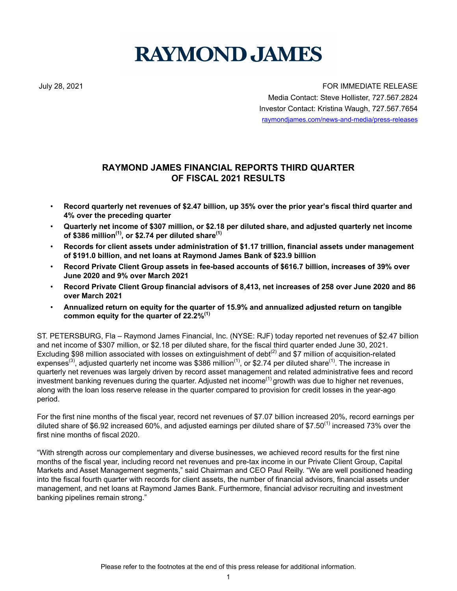# **RAYMOND JAMES**

July 28, 2021 FOR IMMEDIATE RELEASE Media Contact: Steve Hollister, 727.567.2824 Investor Contact: Kristina Waugh, 727.567.7654 raymondjames.com/news-and-media/press-releases

# **RAYMOND JAMES FINANCIAL REPORTS THIRD QUARTER OF FISCAL 2021 RESULTS**

- **Record quarterly net revenues of \$2.47 billion, up 35% over the prior year's fiscal third quarter and 4% over the preceding quarter**
- **Quarterly net income of \$307 million, or \$2.18 per diluted share, and adjusted quarterly net income of \$386 million(1), or \$2.74 per diluted share(1)**
- **Records for client assets under administration of \$1.17 trillion, financial assets under management of \$191.0 billion, and net loans at Raymond James Bank of \$23.9 billion**
- **Record Private Client Group assets in fee-based accounts of \$616.7 billion, increases of 39% over June 2020 and 9% over March 2021**
- **Record Private Client Group financial advisors of 8,413, net increases of 258 over June 2020 and 86 over March 2021**
- **Annualized return on equity for the quarter of 15.9% and annualized adjusted return on tangible common equity for the quarter of 22.2%(1)**

ST. PETERSBURG, Fla – Raymond James Financial, Inc. (NYSE: RJF) today reported net revenues of \$2.47 billion and net income of \$307 million, or \$2.18 per diluted share, for the fiscal third quarter ended June 30, 2021. Excluding \$98 million associated with losses on extinguishment of debt<sup>(2)</sup> and \$7 million of acquisition-related expenses<sup>(3)</sup>, adjusted quarterly net income was \$386 million<sup>(1)</sup>, or \$2.74 per diluted share<sup>(1)</sup>. The increase in quarterly net revenues was largely driven by record asset management and related administrative fees and record investment banking revenues during the quarter. Adjusted net income<sup>(1)</sup> growth was due to higher net revenues, along with the loan loss reserve release in the quarter compared to provision for credit losses in the year-ago period.

For the first nine months of the fiscal year, record net revenues of \$7.07 billion increased 20%, record earnings per diluted share of \$6.92 increased 60%, and adjusted earnings per diluted share of \$7.50<sup>(1)</sup> increased 73% over the first nine months of fiscal 2020.

"With strength across our complementary and diverse businesses, we achieved record results for the first nine months of the fiscal year, including record net revenues and pre-tax income in our Private Client Group, Capital Markets and Asset Management segments," said Chairman and CEO Paul Reilly. "We are well positioned heading into the fiscal fourth quarter with records for client assets, the number of financial advisors, financial assets under management, and net loans at Raymond James Bank. Furthermore, financial advisor recruiting and investment banking pipelines remain strong."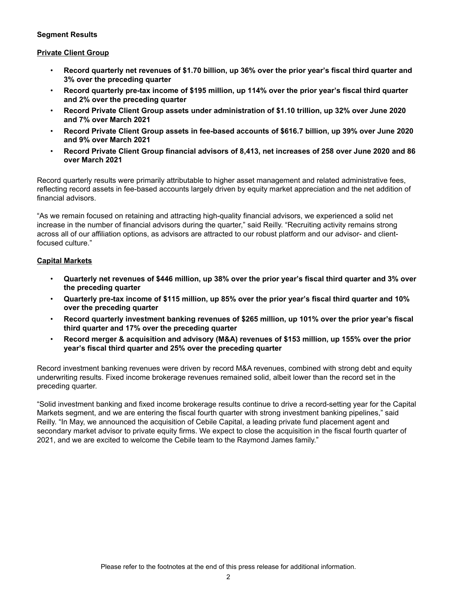### **Segment Results**

#### **Private Client Group**

- **Record quarterly net revenues of \$1.70 billion, up 36% over the prior year's fiscal third quarter and 3% over the preceding quarter**
- **Record quarterly pre-tax income of \$195 million, up 114% over the prior year's fiscal third quarter and 2% over the preceding quarter**
- **Record Private Client Group assets under administration of \$1.10 trillion, up 32% over June 2020 and 7% over March 2021**
- **Record Private Client Group assets in fee-based accounts of \$616.7 billion, up 39% over June 2020 and 9% over March 2021**
- **Record Private Client Group financial advisors of 8,413, net increases of 258 over June 2020 and 86 over March 2021**

Record quarterly results were primarily attributable to higher asset management and related administrative fees, reflecting record assets in fee-based accounts largely driven by equity market appreciation and the net addition of financial advisors.

"As we remain focused on retaining and attracting high-quality financial advisors, we experienced a solid net increase in the number of financial advisors during the quarter," said Reilly. "Recruiting activity remains strong across all of our affiliation options, as advisors are attracted to our robust platform and our advisor- and clientfocused culture."

### **Capital Markets**

- **Quarterly net revenues of \$446 million, up 38% over the prior year's fiscal third quarter and 3% over the preceding quarter**
- **Quarterly pre-tax income of \$115 million, up 85% over the prior year's fiscal third quarter and 10% over the preceding quarter**
- **Record quarterly investment banking revenues of \$265 million, up 101% over the prior year's fiscal third quarter and 17% over the preceding quarter**
- **Record merger & acquisition and advisory (M&A) revenues of \$153 million, up 155% over the prior year's fiscal third quarter and 25% over the preceding quarter**

Record investment banking revenues were driven by record M&A revenues, combined with strong debt and equity underwriting results. Fixed income brokerage revenues remained solid, albeit lower than the record set in the preceding quarter.

"Solid investment banking and fixed income brokerage results continue to drive a record-setting year for the Capital Markets segment, and we are entering the fiscal fourth quarter with strong investment banking pipelines," said Reilly. "In May, we announced the acquisition of Cebile Capital, a leading private fund placement agent and secondary market advisor to private equity firms. We expect to close the acquisition in the fiscal fourth quarter of 2021, and we are excited to welcome the Cebile team to the Raymond James family."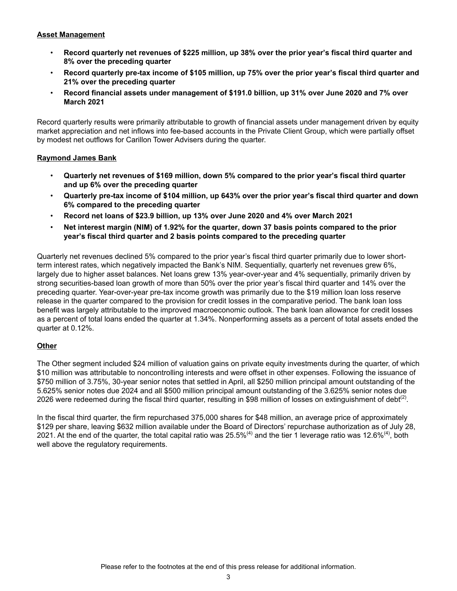### **Asset Management**

- **Record quarterly net revenues of \$225 million, up 38% over the prior year's fiscal third quarter and 8% over the preceding quarter**
- **Record quarterly pre-tax income of \$105 million, up 75% over the prior year's fiscal third quarter and 21% over the preceding quarter**
- **Record financial assets under management of \$191.0 billion, up 31% over June 2020 and 7% over March 2021**

Record quarterly results were primarily attributable to growth of financial assets under management driven by equity market appreciation and net inflows into fee-based accounts in the Private Client Group, which were partially offset by modest net outflows for Carillon Tower Advisers during the quarter.

### **Raymond James Bank**

- **Quarterly net revenues of \$169 million, down 5% compared to the prior year's fiscal third quarter and up 6% over the preceding quarter**
- **Quarterly pre-tax income of \$104 million, up 643% over the prior year's fiscal third quarter and down 6% compared to the preceding quarter**
- **Record net loans of \$23.9 billion, up 13% over June 2020 and 4% over March 2021**
- **Net interest margin (NIM) of 1.92% for the quarter, down 37 basis points compared to the prior year's fiscal third quarter and 2 basis points compared to the preceding quarter**

Quarterly net revenues declined 5% compared to the prior year's fiscal third quarter primarily due to lower shortterm interest rates, which negatively impacted the Bank's NIM. Sequentially, quarterly net revenues grew 6%, largely due to higher asset balances. Net loans grew 13% year-over-year and 4% sequentially, primarily driven by strong securities-based loan growth of more than 50% over the prior year's fiscal third quarter and 14% over the preceding quarter. Year-over-year pre-tax income growth was primarily due to the \$19 million loan loss reserve release in the quarter compared to the provision for credit losses in the comparative period. The bank loan loss benefit was largely attributable to the improved macroeconomic outlook. The bank loan allowance for credit losses as a percent of total loans ended the quarter at 1.34%. Nonperforming assets as a percent of total assets ended the quarter at 0.12%.

### **Other**

The Other segment included \$24 million of valuation gains on private equity investments during the quarter, of which \$10 million was attributable to noncontrolling interests and were offset in other expenses. Following the issuance of \$750 million of 3.75%, 30-year senior notes that settled in April, all \$250 million principal amount outstanding of the 5.625% senior notes due 2024 and all \$500 million principal amount outstanding of the 3.625% senior notes due 2026 were redeemed during the fiscal third quarter, resulting in \$98 million of losses on extinguishment of debt<sup>(2)</sup>.

In the fiscal third quarter, the firm repurchased 375,000 shares for \$48 million, an average price of approximately \$129 per share, leaving \$632 million available under the Board of Directors' repurchase authorization as of July 28, 2021. At the end of the quarter, the total capital ratio was  $25.5\%^{(4)}$  and the tier 1 leverage ratio was 12.6%<sup>(4)</sup>, both well above the regulatory requirements.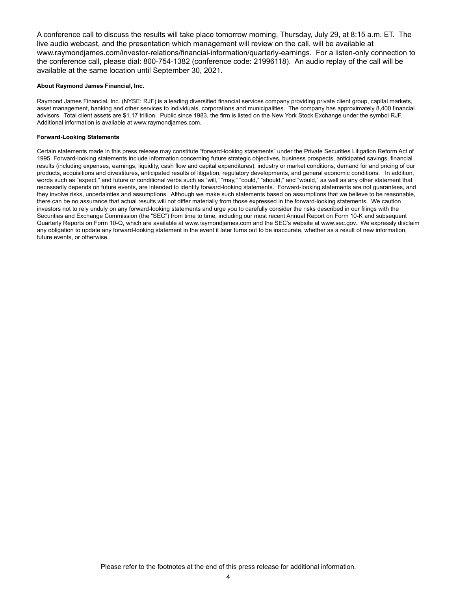A conference call to discuss the results will take place tomorrow morning, Thursday, July 29, at 8:15 a.m. ET. The live audio webcast, and the presentation which management will review on the call, will be available at www.raymondjames.com/investor-relations/financial-information/quarterly-earnings. For a listen-only connection to the conference call, please dial: 800-754-1382 (conference code: 21996118). An audio replay of the call will be available at the same location until September 30, 2021.

#### **About Raymond James Financial, Inc.**

Raymond James Financial, Inc. (NYSE: RJF) is a leading diversified financial services company providing private client group, capital markets, asset management, banking and other services to individuals, corporations and municipalities. The company has approximately 8,400 financial advisors. Total client assets are \$1.17 trillion. Public since 1983, the firm is listed on the New York Stock Exchange under the symbol RJF. Additional information is available at www.raymondjames.com.

#### **Forward-Looking Statements**

Certain statements made in this press release may constitute "forward-looking statements" under the Private Securities Litigation Reform Act of 1995. Forward-looking statements include information concerning future strategic objectives, business prospects, anticipated savings, financial results (including expenses, earnings, liquidity, cash flow and capital expenditures), industry or market conditions, demand for and pricing of our products, acquisitions and divestitures, anticipated results of litigation, regulatory developments, and general economic conditions. In addition, words such as "expect," and future or conditional verbs such as "will," "may," "could," "should," and "would," as well as any other statement that necessarily depends on future events, are intended to identify forward-looking statements. Forward-looking statements are not guarantees, and they involve risks, uncertainties and assumptions. Although we make such statements based on assumptions that we believe to be reasonable, there can be no assurance that actual results will not differ materially from those expressed in the forward-looking statements. We caution investors not to rely unduly on any forward-looking statements and urge you to carefully consider the risks described in our filings with the Securities and Exchange Commission (the "SEC") from time to time, including our most recent Annual Report on Form 10-K and subsequent Quarterly Reports on Form 10-Q, which are available at www.raymondjames.com and the SEC's website at www.sec.gov. We expressly disclaim any obligation to update any forward-looking statement in the event it later turns out to be inaccurate, whether as a result of new information, future events, or otherwise.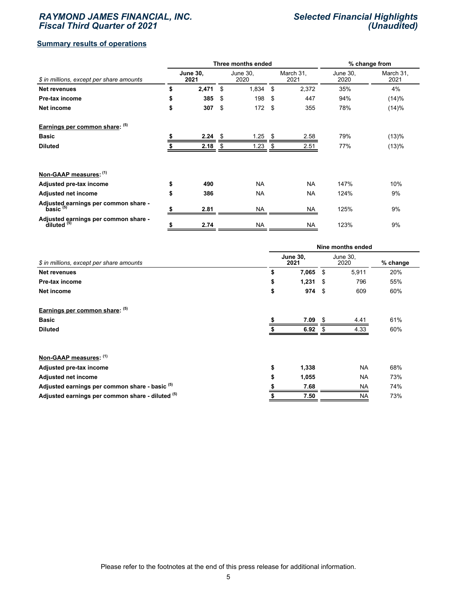### *RAYMOND JAMES FINANCIAL, INC. Fiscal Third Quarter of 2021*

### *Selected Financial Highlights (Unaudited)*

### **Summary results of operations**

|                                                     |                         |       | Three months ended |                  | % change from |                   |                  |                   |
|-----------------------------------------------------|-------------------------|-------|--------------------|------------------|---------------|-------------------|------------------|-------------------|
| \$ in millions, except per share amounts            | <b>June 30,</b><br>2021 |       |                    | June 30,<br>2020 |               | March 31,<br>2021 | June 30,<br>2020 | March 31,<br>2021 |
| <b>Net revenues</b>                                 | \$                      | 2,471 | \$                 | 1,834            | \$            | 2,372             | 35%              | 4%                |
| Pre-tax income                                      | \$                      | 385   | \$                 | 198              | -\$           | 447               | 94%              | (14)%             |
| Net income                                          | \$                      | 307   | \$                 | 172S             |               | 355               | 78%              | (14)%             |
| Earnings per common share: (5)                      |                         |       |                    |                  |               |                   |                  |                   |
| <b>Basic</b>                                        |                         | 2.24  | \$                 | 1.25             | \$            | 2.58              | 79%              | (13)%             |
| <b>Diluted</b>                                      |                         | 2.18  |                    | 1.23             | \$            | 2.51              | 77%              | (13)%             |
| Non-GAAP measures: (1)                              |                         |       |                    |                  |               |                   |                  |                   |
| Adjusted pre-tax income                             | \$                      | 490   |                    | <b>NA</b>        |               | <b>NA</b>         | 147%             | 10%               |
| <b>Adjusted net income</b>                          | \$                      | 386   |                    | <b>NA</b>        |               | <b>NA</b>         | 124%             | 9%                |
| Adjusted earnings per common share -<br>basic $(5)$ |                         | 2.81  |                    | NA               |               | NA                | 125%             | 9%                |
| Adjusted earnings per common share -<br>diluted (5) | \$                      | 2.74  |                    | <b>NA</b>        |               | <b>NA</b>         | 123%             | 9%                |

|                                                           | Nine months ended |                         |      |                  |          |  |  |  |  |
|-----------------------------------------------------------|-------------------|-------------------------|------|------------------|----------|--|--|--|--|
| \$ in millions, except per share amounts                  |                   | <b>June 30.</b><br>2021 |      | June 30,<br>2020 | % change |  |  |  |  |
| <b>Net revenues</b>                                       | \$                | 7,065                   | \$   | 5,911            | 20%      |  |  |  |  |
| Pre-tax income                                            | \$                | 1,231                   | - \$ | 796              | 55%      |  |  |  |  |
| Net income                                                | \$                | 974                     | - \$ | 609              | 60%      |  |  |  |  |
| Earnings per common share: (5)                            |                   |                         |      |                  |          |  |  |  |  |
| <b>Basic</b>                                              |                   | 7.09                    |      | 4.41             | 61%      |  |  |  |  |
| <b>Diluted</b>                                            |                   | 6.92                    |      | 4.33             | 60%      |  |  |  |  |
| Non-GAAP measures: (1)                                    |                   |                         |      |                  |          |  |  |  |  |
| Adjusted pre-tax income                                   | \$                | 1,338                   |      | <b>NA</b>        | 68%      |  |  |  |  |
| <b>Adjusted net income</b>                                | \$                | 1,055                   |      | <b>NA</b>        | 73%      |  |  |  |  |
| Adjusted earnings per common share - basic <sup>(5)</sup> |                   | 7.68                    |      | <b>NA</b>        | 74%      |  |  |  |  |
| Adjusted earnings per common share - diluted (5)          |                   | 7.50                    |      | <b>NA</b>        | 73%      |  |  |  |  |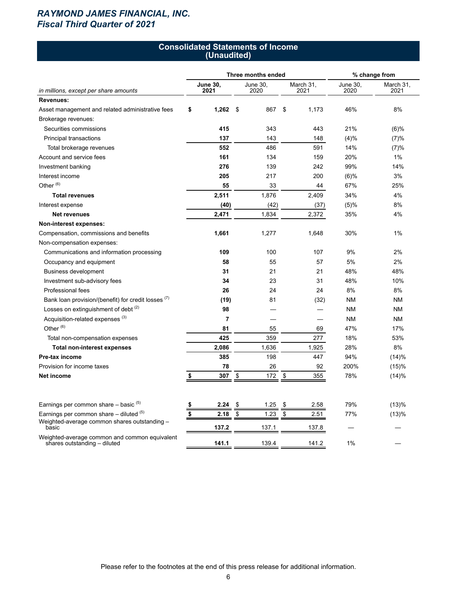# *RAYMOND JAMES FINANCIAL, INC. Fiscal Third Quarter of 2021*

#### **Consolidated Statements of Income (Unaudited)**

|                                                                                             |                         | Three months ended |    | % change from     |                  |                   |  |
|---------------------------------------------------------------------------------------------|-------------------------|--------------------|----|-------------------|------------------|-------------------|--|
| in millions, except per share amounts                                                       | <b>June 30,</b><br>2021 | June 30.<br>2020   |    | March 31,<br>2021 | June 30,<br>2020 | March 31,<br>2021 |  |
| <b>Revenues:</b>                                                                            |                         |                    |    |                   |                  |                   |  |
| Asset management and related administrative fees                                            | \$<br>1,262             | \$<br>867          | \$ | 1,173             | 46%              | 8%                |  |
| Brokerage revenues:                                                                         |                         |                    |    |                   |                  |                   |  |
| Securities commissions                                                                      | 415                     | 343                |    | 443               | 21%              | (6)%              |  |
| Principal transactions                                                                      | 137                     | 143                |    | 148               | (4)%             | (7)%              |  |
| Total brokerage revenues                                                                    | 552                     | 486                |    | 591               | 14%              | (7)%              |  |
| Account and service fees                                                                    | 161                     | 134                |    | 159               | 20%              | 1%                |  |
| Investment banking                                                                          | 276                     | 139                |    | 242               | 99%              | 14%               |  |
| Interest income                                                                             | 205                     | 217                |    | 200               | $(6)\%$          | 3%                |  |
| Other <sup>(6)</sup>                                                                        | 55                      | 33                 |    | 44                | 67%              | 25%               |  |
| <b>Total revenues</b>                                                                       | 2,511                   | 1,876              |    | 2,409             | 34%              | 4%                |  |
| Interest expense                                                                            | (40)                    | (42)               |    | (37)              | (5)%             | 8%                |  |
| Net revenues                                                                                | 2,471                   | 1,834              |    | 2,372             | 35%              | 4%                |  |
| Non-interest expenses:                                                                      |                         |                    |    |                   |                  |                   |  |
| Compensation, commissions and benefits                                                      | 1,661                   | 1,277              |    | 1,648             | 30%              | 1%                |  |
| Non-compensation expenses:                                                                  |                         |                    |    |                   |                  |                   |  |
| Communications and information processing                                                   | 109                     | 100                |    | 107               | 9%               | 2%                |  |
| Occupancy and equipment                                                                     | 58                      | 55                 |    | 57                | 5%               | 2%                |  |
| <b>Business development</b>                                                                 | 31                      | 21                 |    | 21                | 48%              | 48%               |  |
| Investment sub-advisory fees                                                                | 34                      | 23                 |    | 31                | 48%              | 10%               |  |
| Professional fees                                                                           | 26                      | 24                 |    | 24                | 8%               | 8%                |  |
| Bank loan provision/(benefit) for credit losses (1)                                         | (19)                    | 81                 |    | (32)              | <b>NM</b>        | <b>NM</b>         |  |
| Losses on extinguishment of debt <sup>(2)</sup>                                             | 98                      |                    |    |                   | ΝM               | <b>NM</b>         |  |
| Acquisition-related expenses <sup>(3)</sup>                                                 | $\overline{7}$          |                    |    |                   | <b>NM</b>        | <b>NM</b>         |  |
| Other <sup>(6)</sup>                                                                        | 81                      | 55                 |    | 69                | 47%              | 17%               |  |
| Total non-compensation expenses                                                             | 425                     | 359                |    | 277               | 18%              | 53%               |  |
| <b>Total non-interest expenses</b>                                                          | 2,086                   | 1,636              |    | 1,925             | 28%              | 8%                |  |
| Pre-tax income                                                                              | 385                     | 198                |    | 447               | 94%              | (14)%             |  |
| Provision for income taxes                                                                  | 78                      | 26                 |    | 92                | 200%             | (15)%             |  |
| Net income                                                                                  | \$<br>307               | \$<br>172          | \$ | 355               | 78%              | (14)%             |  |
|                                                                                             |                         |                    |    |                   |                  |                   |  |
| Earnings per common share $-$ basic $(5)$                                                   | \$<br>2.24              | \$<br>1.25         | \$ | 2.58              | 79%              | (13)%             |  |
| Earnings per common share $-$ diluted $(5)$<br>Weighted-average common shares outstanding - | \$<br>2.18              | \$<br>1.23         | \$ | 2.51              | 77%              | (13)%             |  |
| basic                                                                                       | 137.2                   | 137.1              |    | 137.8             |                  |                   |  |
| Weighted-average common and common equivalent<br>shares outstanding - diluted               | 141.1                   | 139.4              |    | 141.2             | 1%               |                   |  |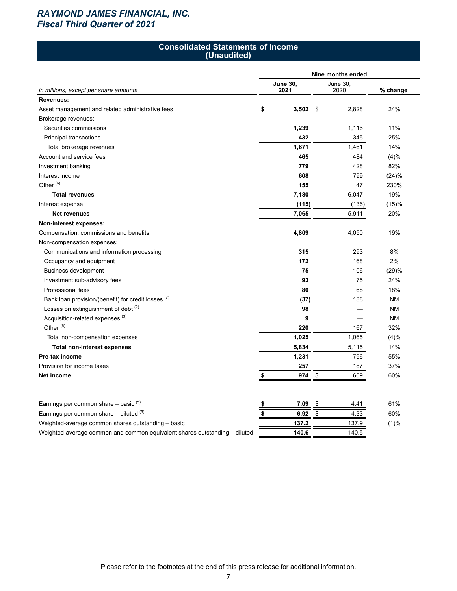# *RAYMOND JAMES FINANCIAL, INC. Fiscal Third Quarter of 2021*

#### **Consolidated Statements of Income (Unaudited)**

|                                                                            | Nine months ended |                 |    |          |           |  |  |  |  |  |
|----------------------------------------------------------------------------|-------------------|-----------------|----|----------|-----------|--|--|--|--|--|
|                                                                            |                   | <b>June 30,</b> |    | June 30. |           |  |  |  |  |  |
| in millions, except per share amounts                                      |                   | 2021            |    | 2020     | % change  |  |  |  |  |  |
| Revenues:                                                                  |                   |                 |    |          |           |  |  |  |  |  |
| Asset management and related administrative fees                           | \$                | 3,502           | \$ | 2,828    | 24%       |  |  |  |  |  |
| Brokerage revenues:                                                        |                   |                 |    |          |           |  |  |  |  |  |
| Securities commissions                                                     |                   | 1,239           |    | 1,116    | 11%       |  |  |  |  |  |
| Principal transactions                                                     |                   | 432             |    | 345      | 25%       |  |  |  |  |  |
| Total brokerage revenues                                                   |                   | 1,671           |    | 1,461    | 14%       |  |  |  |  |  |
| Account and service fees                                                   |                   | 465             |    | 484      | (4)%      |  |  |  |  |  |
| Investment banking                                                         |                   | 779             |    | 428      | 82%       |  |  |  |  |  |
| Interest income                                                            |                   | 608             |    | 799      | (24)%     |  |  |  |  |  |
| Other $^{(6)}$                                                             |                   | 155             |    | 47       | 230%      |  |  |  |  |  |
| <b>Total revenues</b>                                                      |                   | 7,180           |    | 6,047    | 19%       |  |  |  |  |  |
| Interest expense                                                           |                   | (115)           |    | (136)    | (15)%     |  |  |  |  |  |
| <b>Net revenues</b>                                                        |                   | 7,065           |    | 5,911    | 20%       |  |  |  |  |  |
| Non-interest expenses:                                                     |                   |                 |    |          |           |  |  |  |  |  |
| Compensation, commissions and benefits                                     |                   | 4,809           |    | 4,050    | 19%       |  |  |  |  |  |
| Non-compensation expenses:                                                 |                   |                 |    |          |           |  |  |  |  |  |
| Communications and information processing                                  |                   | 315             |    | 293      | 8%        |  |  |  |  |  |
| Occupancy and equipment                                                    |                   | 172             |    | 168      | 2%        |  |  |  |  |  |
| <b>Business development</b>                                                |                   | 75              |    | 106      | (29)%     |  |  |  |  |  |
| Investment sub-advisory fees                                               |                   | 93              |    | 75       | 24%       |  |  |  |  |  |
| Professional fees                                                          |                   | 80              |    | 68       | 18%       |  |  |  |  |  |
| Bank loan provision/(benefit) for credit losses (7)                        |                   | (37)            |    | 188      | <b>NM</b> |  |  |  |  |  |
| Losses on extinguishment of debt (2)                                       |                   | 98              |    |          | <b>NM</b> |  |  |  |  |  |
| Acquisition-related expenses <sup>(3)</sup>                                |                   | 9               |    |          | <b>NM</b> |  |  |  |  |  |
| Other <sup>(6)</sup>                                                       |                   | 220             |    | 167      | 32%       |  |  |  |  |  |
| Total non-compensation expenses                                            |                   | 1,025           |    | 1,065    | (4)%      |  |  |  |  |  |
| <b>Total non-interest expenses</b>                                         |                   | 5,834           |    | 5,115    | 14%       |  |  |  |  |  |
| Pre-tax income                                                             |                   | 1,231           |    | 796      | 55%       |  |  |  |  |  |
| Provision for income taxes                                                 |                   | 257             |    | 187      | 37%       |  |  |  |  |  |
| Net income                                                                 | \$                | 974             | \$ | 609      | 60%       |  |  |  |  |  |
|                                                                            |                   |                 |    |          |           |  |  |  |  |  |
| Earnings per common share $-$ basic $(5)$                                  | \$                | 7.09            | \$ | 4.41     | 61%       |  |  |  |  |  |
| Earnings per common share $-$ diluted $(5)$                                | \$                | 6.92            | \$ | 4.33     | 60%       |  |  |  |  |  |
| Weighted-average common shares outstanding - basic                         |                   | 137.2           |    | 137.9    | (1)%      |  |  |  |  |  |
| Weighted-average common and common equivalent shares outstanding – diluted |                   | 140.6           |    | 140.5    |           |  |  |  |  |  |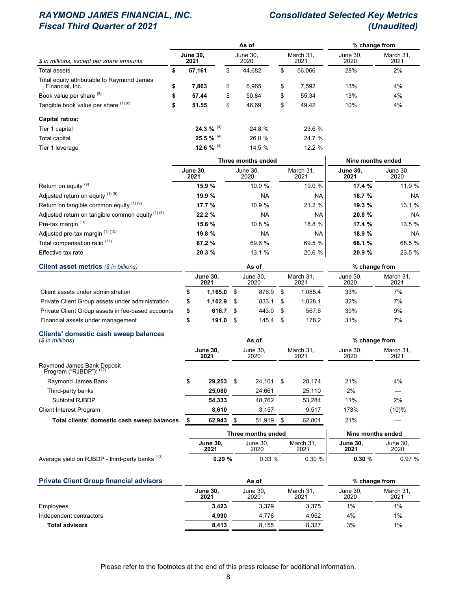# *RAYMOND JAMES FINANCIAL, INC. Consolidated Selected Key Metrics* **Fiscal Third Quarter of 2021**

|                                                               |    |                         |    |                  | % change from |                   |                  |                   |  |
|---------------------------------------------------------------|----|-------------------------|----|------------------|---------------|-------------------|------------------|-------------------|--|
| \$ in millions, except per share amounts                      |    | <b>June 30.</b><br>2021 |    | June 30.<br>2020 |               | March 31.<br>2021 | June 30.<br>2020 | March 31.<br>2021 |  |
| Total assets                                                  | \$ | 57,161                  | \$ | 44.682           | \$            | 56.066            | 28%              | 2%                |  |
| Total equity attributable to Raymond James<br>Financial, Inc. | \$ | 7,863                   | \$ | 6,965            | \$            | 7.592             | 13%              | 4%                |  |
| Book value per share (8)                                      | \$ | 57.44                   | \$ | 50.84            | \$            | 55.34             | 13%              | 4%                |  |
| Tangible book value per share (1) (8)                         | \$ | 51.55                   | \$ | 46.69            | \$            | 49.42             | 10%              | 4%                |  |
| <b>Capital ratios:</b>                                        |    |                         |    |                  |               |                   |                  |                   |  |
| Tier 1 capital                                                |    | 24.3 % $^{(4)}$         |    | 24.8 %           |               | 23.6 %            |                  |                   |  |
| Total capital                                                 |    | 25.5 % $^{(4)}$         |    | 26.0 %           |               | 24.7 %            |                  |                   |  |
| Tier 1 leverage                                               |    | 12.6 % $^{(4)}$         |    | 14.5 %           |               | 12.2 %            |                  |                   |  |

|                                                             |                         | Three months ended | Nine months ended |                         |                  |  |
|-------------------------------------------------------------|-------------------------|--------------------|-------------------|-------------------------|------------------|--|
|                                                             | <b>June 30.</b><br>2021 | June 30.<br>2020   | March 31.<br>2021 | <b>June 30.</b><br>2021 | June 30.<br>2020 |  |
| Return on equity <sup>(9)</sup>                             | 15.9%                   | 10.0%              | 19.0 %            | 17.4 %                  | 11.9 %           |  |
| Adjusted return on equity (1) (9)                           | 19.9 %                  | <b>NA</b>          | NA.               | 18.7 %                  | <b>NA</b>        |  |
| Return on tangible common equity (1) (9)                    | 17.7 %                  | 10.9 %             | 21.2 %            | 19.3 %                  | 13.1%            |  |
| Adjusted return on tangible common equity <sup>(1)(9)</sup> | 22.2 %                  | <b>NA</b>          | <b>NA</b>         | 20.8 %                  | <b>NA</b>        |  |
| Pre-tax margin (10)                                         | 15.6 %                  | 10.8%              | 18.8 %            | 17.4 %                  | 13.5 %           |  |
| Adjusted pre-tax margin (1) (10)                            | 19.8 %                  | <b>NA</b>          | <b>NA</b>         | 18.9 %                  | <b>NA</b>        |  |
| Total compensation ratio <sup>(11)</sup>                    | 67.2 %                  | 69.6 %             | 69.5 %            | 68.1 %                  | 68.5 %           |  |
| Effective tax rate                                          | 20.3 %                  | 13.1 %             | 20.6 %            | 20.9 %                  | 23.5 %           |  |

| <b>Client asset metrics (\$ in billions)</b>      |                         |               |      | % change from    |          |                   |                  |                   |
|---------------------------------------------------|-------------------------|---------------|------|------------------|----------|-------------------|------------------|-------------------|
|                                                   | <b>June 30.</b><br>2021 |               |      | June 30.<br>2020 |          | March 31.<br>2021 | June 30.<br>2020 | March 31.<br>2021 |
| Client assets under administration                |                         | 1.165.0       |      | 876.9            | <b>S</b> | 1.085.4           | 33%              | 7%                |
| Private Client Group assets under administration  |                         | 1.102.9       |      | 833.1            | <b>S</b> | 1.028.1           | 32%              | 7%                |
| Private Client Group assets in fee-based accounts |                         | 616.7         | - \$ | 443.0 \$         |          | 567.6             | 39%              | 9%                |
| Financial assets under management                 |                         | 191.0<br>- \$ |      | 145.4            | - \$     | 178.2             | 31%              | 7%                |

### **Clients' domestic cash sweep balances**

| $$$ in millions)                                      |    |                         |    | As of              |  |                   | % change from    |                   |  |  |
|-------------------------------------------------------|----|-------------------------|----|--------------------|--|-------------------|------------------|-------------------|--|--|
| Raymond James Bank Deposit<br>Program ("RJBDP"): (12) |    | <b>June 30.</b><br>2021 |    | June 30.<br>2020   |  | March 31.<br>2021 | June 30.<br>2020 | March 31,<br>2021 |  |  |
|                                                       |    |                         |    |                    |  |                   |                  |                   |  |  |
| Raymond James Bank                                    | \$ | 29.253                  | \$ | 24,101 \$          |  | 28.174            | 21%              | 4%                |  |  |
| Third-party banks                                     |    | 25.080                  |    | 24.661             |  | 25,110            | 2%               |                   |  |  |
| Subtotal RJBDP                                        |    | 54.333                  |    | 48.762             |  | 53.284            | 11%              | 2%                |  |  |
| <b>Client Interest Program</b>                        |    | 8,610                   |    | 3,157              |  | 9,517             | 173%             | (10)%             |  |  |
| Total clients' domestic cash sweep balances           |    | 62,943                  |    | 51,919             |  | 62,801            | 21%              |                   |  |  |
|                                                       |    |                         |    | Three months ended |  | Nine months ended |                  |                   |  |  |
|                                                       |    | <b>June 30.</b>         |    | June 30,           |  | March 31,         | <b>June 30,</b>  | June 30.          |  |  |

| 13<br><b>RJBDP</b><br>⋅ third-partv banks<br>Average yield on<br>$\cdot$ | 29.9<br>$V - 1$ | ດດ ດ/<br>$\sqrt{0}$<br>ບ.ບບ | 0/<br>- 30<br>∪.∪∪<br>$\prime$ $\alpha$ | ∪.30 °∕ | 07.01<br>u<br>70<br><b>U.J</b> |
|--------------------------------------------------------------------------|-----------------|-----------------------------|-----------------------------------------|---------|--------------------------------|

| <b>Private Client Group financial advisors</b> |                         | As of            |                   | % change from    |                   |  |  |
|------------------------------------------------|-------------------------|------------------|-------------------|------------------|-------------------|--|--|
|                                                | <b>June 30,</b><br>2021 | June 30.<br>2020 | March 31.<br>2021 | June 30.<br>2020 | March 31,<br>2021 |  |  |
| Employees                                      | 3.423                   | 3.379            | 3.375             | 1%               | 1%                |  |  |
| Independent contractors                        | 4.990                   | 4.776            | 4.952             | 4%               | 1%                |  |  |
| <b>Total advisors</b>                          | 8.413                   | 8.155            | 8,327             | 3%               | $1\%$             |  |  |

2020

2021

**2021**

2020

**2021**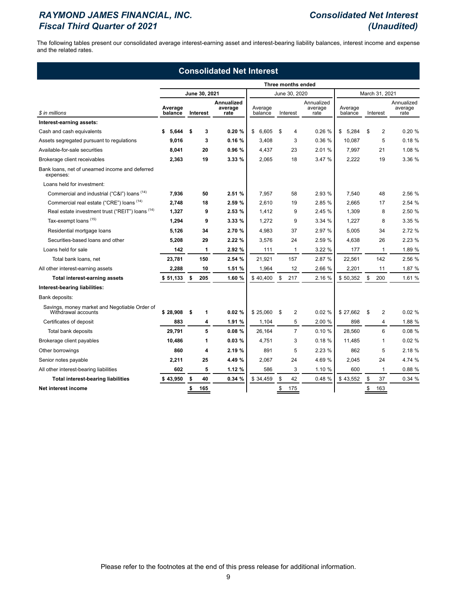# *RAYMOND JAMES FINANCIAL, INC. Consolidated Net Interest Fiscal Third Quarter of 2021 (Unaudited)*

The following tables present our consolidated average interest-earning asset and interest-bearing liability balances, interest income and expense and the related rates.

| <b>Consolidated Net Interest</b>                                     |                    |    |               |                               |                    |     |                       |                               |                    |    |                |                               |
|----------------------------------------------------------------------|--------------------|----|---------------|-------------------------------|--------------------|-----|-----------------------|-------------------------------|--------------------|----|----------------|-------------------------------|
|                                                                      |                    |    |               |                               |                    |     | Three months ended    |                               |                    |    |                |                               |
|                                                                      |                    |    | June 30, 2021 |                               |                    |     | June 30, 2020         |                               |                    |    | March 31, 2021 |                               |
| \$ in millions                                                       | Average<br>balance |    | Interest      | Annualized<br>average<br>rate | Average<br>balance |     | Interest              | Annualized<br>average<br>rate | Average<br>balance |    | Interest       | Annualized<br>average<br>rate |
| Interest-earning assets:                                             |                    |    |               |                               |                    |     |                       |                               |                    |    |                |                               |
| Cash and cash equivalents                                            | 5.644              | \$ | 3             | 0.20%                         | \$<br>6.605        |     | \$<br>4               | 0.26%                         | \$<br>5.284        | \$ | $\overline{2}$ | 0.20%                         |
| Assets segregated pursuant to regulations                            | 9,016              |    | 3             | 0.16%                         | 3,408              |     | 3                     | 0.36%                         | 10,087             |    | 5              | 0.18%                         |
| Available-for-sale securities                                        | 8,041              |    | 20            | 0.96%                         | 4,437              |     | 23                    | 2.01 %                        | 7,997              |    | 21             | 1.08 %                        |
| Brokerage client receivables                                         | 2,363              |    | 19            | 3.33%                         | 2,065              |     | 18                    | 3.47 %                        | 2,222              |    | 19             | 3.36 %                        |
| Bank loans, net of unearned income and deferred<br>expenses:         |                    |    |               |                               |                    |     |                       |                               |                    |    |                |                               |
| Loans held for investment:                                           |                    |    |               |                               |                    |     |                       |                               |                    |    |                |                               |
| Commercial and industrial ("C&I") loans (14)                         | 7,936              |    | 50            | 2.51%                         | 7,957              |     | 58                    | 2.93 %                        | 7,540              |    | 48             | 2.56 %                        |
| Commercial real estate ("CRE") loans (14)                            | 2,748              |    | 18            | 2.59 %                        | 2,610              |     | 19                    | 2.85 %                        | 2,665              |    | 17             | 2.54 %                        |
| Real estate investment trust ("REIT") loans (14)                     | 1,327              |    | 9             | 2.53%                         | 1,412              |     | 9                     | 2.45%                         | 1,309              |    | 8              | 2.50 %                        |
| Tax-exempt loans (15)                                                | 1,294              |    | 9             | 3.33%                         | 1,272              |     | 9                     | 3.34%                         | 1,227              |    | 8              | 3.35%                         |
| Residential mortgage loans                                           | 5,126              |    | 34            | 2.70 %                        | 4,983              |     | 37                    | 2.97 %                        | 5,005              |    | 34             | 2.72 %                        |
| Securities-based loans and other                                     | 5,208              |    | 29            | 2.22%                         | 3,576              |     | 24                    | 2.59 %                        | 4,638              |    | 26             | 2.23 %                        |
| Loans held for sale                                                  | 142                |    | 1             | 2.92%                         |                    | 111 | 1                     | 3.22%                         | 177                |    | $\mathbf{1}$   | 1.89 %                        |
| Total bank loans, net                                                | 23,781             |    | 150           | 2.54 %                        | 21,921             |     | 157                   | 2.87 %                        | 22,561             |    | 142            | 2.56 %                        |
| All other interest-earning assets                                    | 2,288              |    | 10            | 1.51 %                        | 1,964              |     | 12                    | 2.66 %                        | 2,201              |    | 11             | 1.87 %                        |
| <b>Total interest-earning assets</b>                                 | \$51,133           | \$ | 205           | 1.60 %                        | \$40,400           |     | \$<br>217             | 2.16 %                        | \$50,352           | \$ | 200            | 1.61 %                        |
| Interest-bearing liabilities:                                        |                    |    |               |                               |                    |     |                       |                               |                    |    |                |                               |
| Bank deposits:                                                       |                    |    |               |                               |                    |     |                       |                               |                    |    |                |                               |
| Savings, money market and Negotiable Order of<br>Withdrawal accounts | \$28,908           | \$ | 1             | 0.02%                         | \$25,060           |     | \$<br>2               | 0.02%                         | \$27,662           | \$ | $\overline{2}$ | 0.02%                         |
| Certificates of deposit                                              | 883                |    | 4             | 1.91 %                        | 1,104              |     | 5                     | 2.00 %                        | 898                |    | 4              | 1.88 %                        |
| Total bank deposits                                                  | 29,791             |    | 5             | 0.08%                         | 26,164             |     | $\overline{7}$        | 0.10%                         | 28,560             |    | 6              | 0.08%                         |
| Brokerage client payables                                            | 10.486             |    | 1             | 0.03%                         | 4.751              |     | 3                     | 0.18%                         | 11,485             |    | 1              | 0.02%                         |
| Other borrowings                                                     | 860                |    | 4             | 2.19 %                        |                    | 891 | 5                     | 2.23%                         | 862                |    | 5              | 2.18 %                        |
| Senior notes payable                                                 | 2,211              |    | 25            | 4.49 %                        | 2,067              |     | 24                    | 4.69 %                        | 2,045              |    | 24             | 4.74 %                        |
| All other interest-bearing liabilities                               | 602                |    | 5             | 1.12%                         |                    | 586 | 3                     | 1.10 %                        | 600                |    | 1              | 0.88%                         |
| <b>Total interest-bearing liabilities</b>                            | \$43,950           | \$ | 40            | 0.34%                         | \$34,459           |     | \$<br>42              | 0.48 %                        | \$43,552           | \$ | 37             | 0.34 %                        |
| Net interest income                                                  |                    | \$ | 165           |                               |                    |     | $$\mathbb{S}$$<br>175 |                               |                    | \$ | 163            |                               |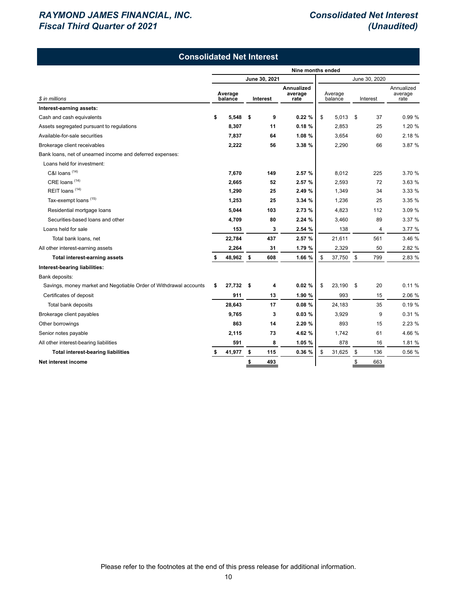# *RAYMOND JAMES FINANCIAL, INC. Consolidated Net Interest Fiscal Third Quarter of 2021 (Unaudited)*

|                                                                   |                   |                    | <b>Consolidated Net Interest</b> |                                      |                    |        |               |                |                               |  |  |  |
|-------------------------------------------------------------------|-------------------|--------------------|----------------------------------|--------------------------------------|--------------------|--------|---------------|----------------|-------------------------------|--|--|--|
|                                                                   | Nine months ended |                    |                                  |                                      |                    |        |               |                |                               |  |  |  |
|                                                                   |                   |                    | June 30, 2021                    |                                      |                    |        |               | June 30, 2020  |                               |  |  |  |
| \$ in millions                                                    |                   | Average<br>balance | Interest                         | <b>Annualized</b><br>average<br>rate | Average<br>balance |        | Interest      |                | Annualized<br>average<br>rate |  |  |  |
| Interest-earning assets:                                          |                   |                    |                                  |                                      |                    |        |               |                |                               |  |  |  |
| Cash and cash equivalents                                         | \$                | 5,548              | 9<br>\$                          | 0.22%                                | \$                 | 5,013  | \$            | 37             | 0.99 %                        |  |  |  |
| Assets segregated pursuant to regulations                         |                   | 8,307              | 11                               | 0.18%                                |                    | 2,853  |               | 25             | 1.20 %                        |  |  |  |
| Available-for-sale securities                                     |                   | 7,837              | 64                               | 1.08%                                |                    | 3,654  |               | 60             | 2.18 %                        |  |  |  |
| Brokerage client receivables                                      |                   | 2,222              | 56                               | 3.38 %                               |                    | 2,290  |               | 66             | 3.87 %                        |  |  |  |
| Bank loans, net of unearned income and deferred expenses:         |                   |                    |                                  |                                      |                    |        |               |                |                               |  |  |  |
| Loans held for investment:                                        |                   |                    |                                  |                                      |                    |        |               |                |                               |  |  |  |
| C&I loans (14)                                                    |                   | 7,670              | 149                              | 2.57 %                               |                    | 8,012  |               | 225            | 3.70 %                        |  |  |  |
| CRE loans <sup>(14)</sup>                                         |                   | 2,665              | 52                               | 2.57 %                               |                    | 2,593  |               | 72             | 3.63 %                        |  |  |  |
| REIT loans <sup>(14)</sup>                                        |                   | 1,290              | 25                               | 2.49 %                               |                    | 1,349  |               | 34             | 3.33 %                        |  |  |  |
| Tax-exempt loans <sup>(15)</sup>                                  |                   | 1,253              | 25                               | 3.34 %                               |                    | 1,236  |               | 25             | 3.35 %                        |  |  |  |
| Residential mortgage loans                                        |                   | 5,044              | 103                              | 2.73 %                               |                    | 4,823  |               | 112            | 3.09 %                        |  |  |  |
| Securities-based loans and other                                  |                   | 4,709              | 80                               | 2.24%                                |                    | 3,460  |               | 89             | 3.37 %                        |  |  |  |
| Loans held for sale                                               |                   | 153                | 3                                | 2.54 %                               |                    | 138    |               | $\overline{4}$ | 3.77 %                        |  |  |  |
| Total bank loans, net                                             |                   | 22,784             | 437                              | 2.57 %                               |                    | 21,611 |               | 561            | 3.46 %                        |  |  |  |
| All other interest-earning assets                                 |                   | 2,264              | 31                               | 1.79 %                               |                    | 2,329  |               | 50             | 2.82 %                        |  |  |  |
| <b>Total interest-earning assets</b>                              |                   | 48,962             | 608<br>-\$                       | 1.66 %                               | \$                 | 37,750 | \$            | 799            | 2.83 %                        |  |  |  |
| Interest-bearing liabilities:                                     |                   |                    |                                  |                                      |                    |        |               |                |                               |  |  |  |
| Bank deposits:                                                    |                   |                    |                                  |                                      |                    |        |               |                |                               |  |  |  |
| Savings, money market and Negotiable Order of Withdrawal accounts | \$                | 27,732             | - \$<br>4                        | 0.02%                                | \$                 | 23,190 | \$            | 20             | 0.11%                         |  |  |  |
| Certificates of deposit                                           |                   | 911                | 13                               | 1.90 %                               |                    | 993    |               | 15             | 2.06 %                        |  |  |  |
| Total bank deposits                                               |                   | 28,643             | 17                               | 0.08%                                |                    | 24,183 |               | 35             | 0.19%                         |  |  |  |
| Brokerage client payables                                         |                   | 9,765              | 3                                | 0.03%                                |                    | 3,929  |               | 9              | 0.31%                         |  |  |  |
| Other borrowings                                                  |                   | 863                | 14                               | 2.20 %                               |                    | 893    |               | 15             | 2.23%                         |  |  |  |
| Senior notes payable                                              |                   | 2,115              | 73                               | 4.62 %                               |                    | 1,742  |               | 61             | 4.66 %                        |  |  |  |
| All other interest-bearing liabilities                            |                   | 591                | 8                                | 1.05 %                               |                    | 878    |               | 16             | 1.81 %                        |  |  |  |
| <b>Total interest-bearing liabilities</b>                         | \$                | 41,977             | 115<br>\$                        | 0.36 %                               | \$                 | 31,625 | \$            | 136            | 0.56 %                        |  |  |  |
| Net interest income                                               |                   |                    | \$<br>493                        |                                      |                    |        | $\frac{3}{2}$ | 663            |                               |  |  |  |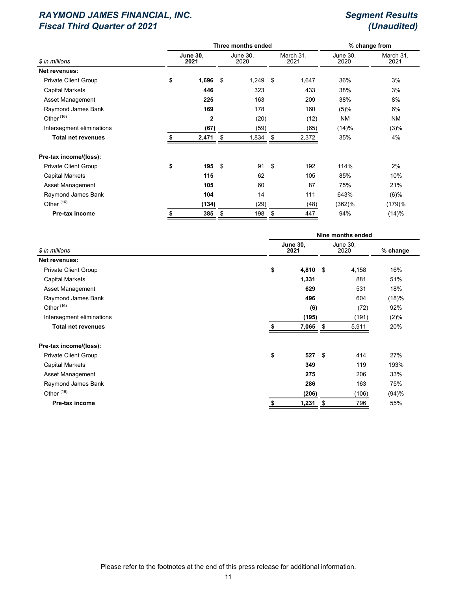|                             |    |                         | Three months ended | % change from    |      |                   |                  |                   |  |
|-----------------------------|----|-------------------------|--------------------|------------------|------|-------------------|------------------|-------------------|--|
| \$ in millions              |    | <b>June 30,</b><br>2021 |                    | June 30,<br>2020 |      | March 31,<br>2021 | June 30,<br>2020 | March 31,<br>2021 |  |
| Net revenues:               |    |                         |                    |                  |      |                   |                  |                   |  |
| <b>Private Client Group</b> | \$ | $1,696$ \$              |                    | 1,249            | - \$ | 1,647             | 36%              | 3%                |  |
| <b>Capital Markets</b>      |    | 446                     |                    | 323              |      | 433               | 38%              | 3%                |  |
| Asset Management            |    | 225                     |                    | 163              |      | 209               | 38%              | 8%                |  |
| Raymond James Bank          |    | 169                     |                    | 178              |      | 160               | (5)%             | 6%                |  |
| Other <sup>(16)</sup>       |    | $\mathbf{2}$            |                    | (20)             |      | (12)              | NM               | <b>NM</b>         |  |
| Intersegment eliminations   |    | (67)                    |                    | (59)             |      | (65)              | (14)%            | (3)%              |  |
| <b>Total net revenues</b>   |    | 2,471                   | \$                 | 1,834            | \$   | 2,372             | 35%              | 4%                |  |
| Pre-tax income/(loss):      |    |                         |                    |                  |      |                   |                  |                   |  |
| <b>Private Client Group</b> | \$ | 195S                    |                    | 91               | - \$ | 192               | 114%             | 2%                |  |
| <b>Capital Markets</b>      |    | 115                     |                    | 62               |      | 105               | 85%              | 10%               |  |
| Asset Management            |    | 105                     |                    | 60               |      | 87                | 75%              | 21%               |  |
| Raymond James Bank          |    | 104                     |                    | 14               |      | 111               | 643%             | (6)%              |  |
| Other <sup>(16)</sup>       |    | (134)                   |                    | (29)             |      | (48)              | $(362)$ %        | (179)%            |  |
| Pre-tax income              |    | 385                     | \$                 | 198              | \$   | 447               | 94%              | (14)%             |  |
|                             |    |                         |                    |                  |      |                   |                  |                   |  |

|                             | Nine months ended       |      |                  |          |  |  |  |  |
|-----------------------------|-------------------------|------|------------------|----------|--|--|--|--|
| \$ in millions              | <b>June 30,</b><br>2021 |      | June 30,<br>2020 | % change |  |  |  |  |
| Net revenues:               |                         |      |                  |          |  |  |  |  |
| <b>Private Client Group</b> | \$<br>4,810 $$$         |      | 4,158            | 16%      |  |  |  |  |
| <b>Capital Markets</b>      | 1,331                   |      | 881              | 51%      |  |  |  |  |
| Asset Management            | 629                     |      | 531              | 18%      |  |  |  |  |
| Raymond James Bank          | 496                     |      | 604              | (18)%    |  |  |  |  |
| Other $(16)$                | (6)                     |      | (72)             | 92%      |  |  |  |  |
| Intersegment eliminations   | (195)                   |      | (191)            | $(2)\%$  |  |  |  |  |
| <b>Total net revenues</b>   | 7,065                   | \$   | 5,911            | 20%      |  |  |  |  |
| Pre-tax income/(loss):      |                         |      |                  |          |  |  |  |  |
| <b>Private Client Group</b> | \$<br>527               | - \$ | 414              | 27%      |  |  |  |  |
| <b>Capital Markets</b>      | 349                     |      | 119              | 193%     |  |  |  |  |
| Asset Management            | 275                     |      | 206              | 33%      |  |  |  |  |
| Raymond James Bank          | 286                     |      | 163              | 75%      |  |  |  |  |
| Other <sup>(16)</sup>       | (206)                   |      | (106)            | (94)%    |  |  |  |  |
| Pre-tax income              | 1,231<br>\$             | \$   | 796              | 55%      |  |  |  |  |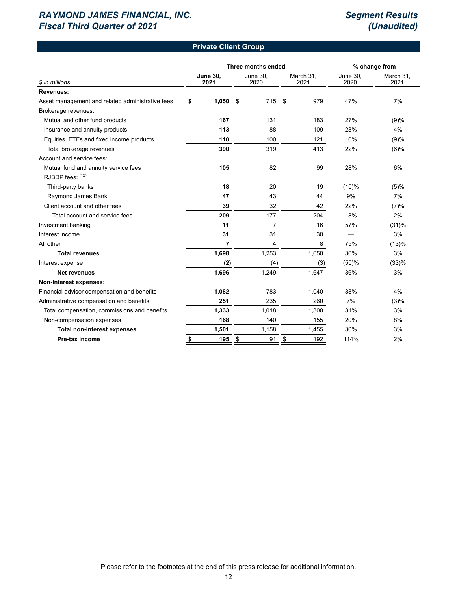### **Private Client Group**

|                                                  |                         |    | Three months ended |    | % change from     |                         |                   |
|--------------------------------------------------|-------------------------|----|--------------------|----|-------------------|-------------------------|-------------------|
| \$ in millions                                   | <b>June 30,</b><br>2021 |    | June 30,<br>2020   |    | March 31,<br>2021 | <b>June 30,</b><br>2020 | March 31,<br>2021 |
| <b>Revenues:</b>                                 |                         |    |                    |    |                   |                         |                   |
| Asset management and related administrative fees | \$<br>1,050             | \$ | 715                | \$ | 979               | 47%                     | 7%                |
| Brokerage revenues:                              |                         |    |                    |    |                   |                         |                   |
| Mutual and other fund products                   | 167                     |    | 131                |    | 183               | 27%                     | (9)%              |
| Insurance and annuity products                   | 113                     |    | 88                 |    | 109               | 28%                     | 4%                |
| Equities, ETFs and fixed income products         | 110                     |    | 100                |    | 121               | 10%                     | (9)%              |
| Total brokerage revenues                         | 390                     |    | 319                |    | 413               | 22%                     | $(6)$ %           |
| Account and service fees:                        |                         |    |                    |    |                   |                         |                   |
| Mutual fund and annuity service fees             | 105                     |    | 82                 |    | 99                | 28%                     | 6%                |
| RJBDP fees: (12)                                 |                         |    |                    |    |                   |                         |                   |
| Third-party banks                                | 18                      |    | 20                 |    | 19                | $(10)\%$                | (5)%              |
| Raymond James Bank                               | 47                      |    | 43                 |    | 44                | 9%                      | 7%                |
| Client account and other fees                    | 39                      |    | 32                 |    | 42                | 22%                     | (7)%              |
| Total account and service fees                   | 209                     |    | 177                |    | 204               | 18%                     | 2%                |
| Investment banking                               | 11                      |    | 7                  |    | 16                | 57%                     | (31)%             |
| Interest income                                  | 31                      |    | 31                 |    | 30                |                         | 3%                |
| All other                                        | 7                       |    | 4                  |    | 8                 | 75%                     | (13)%             |
| <b>Total revenues</b>                            | 1,698                   |    | 1,253              |    | 1,650             | 36%                     | 3%                |
| Interest expense                                 | (2)                     |    | (4)                |    | (3)               | (50)%                   | (33)%             |
| <b>Net revenues</b>                              | 1,696                   |    | 1,249              |    | 1,647             | 36%                     | 3%                |
| Non-interest expenses:                           |                         |    |                    |    |                   |                         |                   |
| Financial advisor compensation and benefits      | 1,082                   |    | 783                |    | 1,040             | 38%                     | 4%                |
| Administrative compensation and benefits         | 251                     |    | 235                |    | 260               | 7%                      | (3)%              |
| Total compensation, commissions and benefits     | 1,333                   |    | 1,018              |    | 1,300             | 31%                     | 3%                |
| Non-compensation expenses                        | 168                     |    | 140                |    | 155               | 20%                     | 8%                |
| <b>Total non-interest expenses</b>               | 1,501                   |    | 1,158              |    | 1,455             | 30%                     | 3%                |
| Pre-tax income                                   | \$<br>195               | \$ | 91                 | \$ | 192               | 114%                    | 2%                |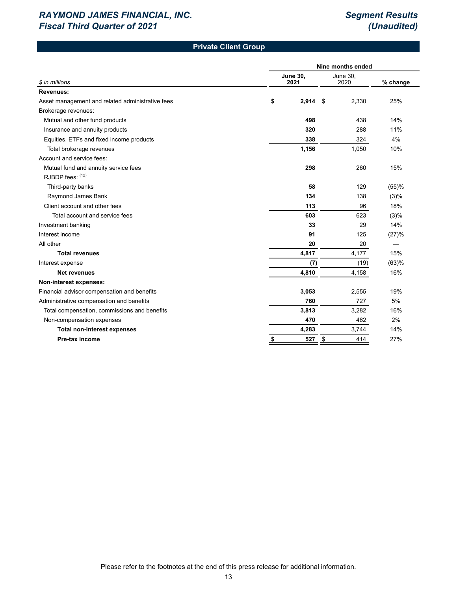# **Private Client Group**

|                                                  | Nine months ended       |    |                  |          |  |  |  |  |  |  |
|--------------------------------------------------|-------------------------|----|------------------|----------|--|--|--|--|--|--|
| \$ in millions                                   | <b>June 30,</b><br>2021 |    | June 30,<br>2020 | % change |  |  |  |  |  |  |
| <b>Revenues:</b>                                 |                         |    |                  |          |  |  |  |  |  |  |
| Asset management and related administrative fees | \$<br>$2,914$ \$        |    | 2,330            | 25%      |  |  |  |  |  |  |
| Brokerage revenues:                              |                         |    |                  |          |  |  |  |  |  |  |
| Mutual and other fund products                   | 498                     |    | 438              | 14%      |  |  |  |  |  |  |
| Insurance and annuity products                   | 320                     |    | 288              | 11%      |  |  |  |  |  |  |
| Equities, ETFs and fixed income products         | 338                     |    | 324              | 4%       |  |  |  |  |  |  |
| Total brokerage revenues                         | 1,156                   |    | 1,050            | 10%      |  |  |  |  |  |  |
| Account and service fees:                        |                         |    |                  |          |  |  |  |  |  |  |
| Mutual fund and annuity service fees             | 298                     |    | 260              | 15%      |  |  |  |  |  |  |
| RJBDP fees: (12)                                 |                         |    |                  |          |  |  |  |  |  |  |
| Third-party banks                                | 58                      |    | 129              | (55)%    |  |  |  |  |  |  |
| Raymond James Bank                               | 134                     |    | 138              | (3)%     |  |  |  |  |  |  |
| Client account and other fees                    | 113                     |    | 96               | 18%      |  |  |  |  |  |  |
| Total account and service fees                   | 603                     |    | 623              | (3)%     |  |  |  |  |  |  |
| Investment banking                               | 33                      |    | 29               | 14%      |  |  |  |  |  |  |
| Interest income                                  | 91                      |    | 125              | (27)%    |  |  |  |  |  |  |
| All other                                        | 20                      |    | 20               |          |  |  |  |  |  |  |
| <b>Total revenues</b>                            | 4,817                   |    | 4,177            | 15%      |  |  |  |  |  |  |
| Interest expense                                 | (7)                     |    | (19)             | (63)%    |  |  |  |  |  |  |
| <b>Net revenues</b>                              | 4,810                   |    | 4,158            | 16%      |  |  |  |  |  |  |
| Non-interest expenses:                           |                         |    |                  |          |  |  |  |  |  |  |
| Financial advisor compensation and benefits      | 3,053                   |    | 2,555            | 19%      |  |  |  |  |  |  |
| Administrative compensation and benefits         | 760                     |    | 727              | 5%       |  |  |  |  |  |  |
| Total compensation, commissions and benefits     | 3,813                   |    | 3,282            | 16%      |  |  |  |  |  |  |
| Non-compensation expenses                        | 470                     |    | 462              | 2%       |  |  |  |  |  |  |
| <b>Total non-interest expenses</b>               | 4,283                   |    | 3,744            | 14%      |  |  |  |  |  |  |
| Pre-tax income                                   | \$<br>527               | \$ | 414              | 27%      |  |  |  |  |  |  |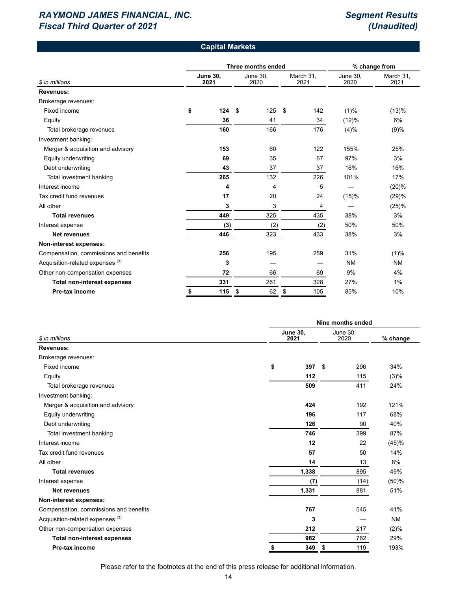#### **Capital Markets**

|                                             |                         | Three months ended | % change from    |    |                   |                         |                   |
|---------------------------------------------|-------------------------|--------------------|------------------|----|-------------------|-------------------------|-------------------|
| \$ in millions                              | <b>June 30,</b><br>2021 |                    | June 30,<br>2020 |    | March 31,<br>2021 | <b>June 30,</b><br>2020 | March 31,<br>2021 |
| <b>Revenues:</b>                            |                         |                    |                  |    |                   |                         |                   |
| Brokerage revenues:                         |                         |                    |                  |    |                   |                         |                   |
| Fixed income                                | \$<br>124               | \$                 | 125              | \$ | 142               | (1)%                    | (13)%             |
| Equity                                      | 36                      |                    | 41               |    | 34                | (12)%                   | 6%                |
| Total brokerage revenues                    | 160                     |                    | 166              |    | 176               | (4)%                    | (9)%              |
| Investment banking:                         |                         |                    |                  |    |                   |                         |                   |
| Merger & acquisition and advisory           | 153                     |                    | 60               |    | 122               | 155%                    | 25%               |
| Equity underwriting                         | 69                      |                    | 35               |    | 67                | 97%                     | 3%                |
| Debt underwriting                           | 43                      |                    | 37               |    | 37                | 16%                     | 16%               |
| Total investment banking                    | 265                     |                    | 132              |    | 226               | 101%                    | 17%               |
| Interest income                             | 4                       |                    | 4                |    | 5                 |                         | (20)%             |
| Tax credit fund revenues                    | 17                      |                    | 20               |    | 24                | (15)%                   | (29)%             |
| All other                                   | 3                       |                    | 3                |    | 4                 |                         | (25)%             |
| <b>Total revenues</b>                       | 449                     |                    | 325              |    | 435               | 38%                     | 3%                |
| Interest expense                            | (3)                     |                    | (2)              |    | (2)               | 50%                     | 50%               |
| <b>Net revenues</b>                         | 446                     |                    | 323              |    | 433               | 38%                     | 3%                |
| Non-interest expenses:                      |                         |                    |                  |    |                   |                         |                   |
| Compensation, commissions and benefits      | 256                     |                    | 195              |    | 259               | 31%                     | (1)%              |
| Acquisition-related expenses <sup>(3)</sup> | 3                       |                    |                  |    |                   | <b>NM</b>               | <b>NM</b>         |
| Other non-compensation expenses             | 72                      |                    | 66               |    | 69                | 9%                      | 4%                |
| <b>Total non-interest expenses</b>          | 331                     |                    | 261              |    | 328               | 27%                     | $1\%$             |
| Pre-tax income                              | \$<br>115               | \$                 | 62               | \$ | 105               | 85%                     | 10%               |

|                                             |                         | Nine months ended |                         |           |  |  |  |  |  |  |
|---------------------------------------------|-------------------------|-------------------|-------------------------|-----------|--|--|--|--|--|--|
| \$ in millions                              | <b>June 30,</b><br>2021 |                   | <b>June 30,</b><br>2020 | % change  |  |  |  |  |  |  |
| Revenues:                                   |                         |                   |                         |           |  |  |  |  |  |  |
| Brokerage revenues:                         |                         |                   |                         |           |  |  |  |  |  |  |
| Fixed income                                | \$                      | 397<br>\$         | 296                     | 34%       |  |  |  |  |  |  |
| Equity                                      | 112                     |                   | 115                     | (3)%      |  |  |  |  |  |  |
| Total brokerage revenues                    | 509                     |                   | 411                     | 24%       |  |  |  |  |  |  |
| Investment banking:                         |                         |                   |                         |           |  |  |  |  |  |  |
| Merger & acquisition and advisory           | 424                     |                   | 192                     | 121%      |  |  |  |  |  |  |
| Equity underwriting                         | 196                     |                   | 117                     | 68%       |  |  |  |  |  |  |
| Debt underwriting                           | 126                     |                   | 90                      | 40%       |  |  |  |  |  |  |
| Total investment banking                    | 746                     |                   | 399                     | 87%       |  |  |  |  |  |  |
| Interest income                             |                         | 12                | 22                      | (45)%     |  |  |  |  |  |  |
| Tax credit fund revenues                    |                         | 57                | 50                      | 14%       |  |  |  |  |  |  |
| All other                                   |                         | 14                | 13                      | 8%        |  |  |  |  |  |  |
| <b>Total revenues</b>                       | 1,338                   |                   | 895                     | 49%       |  |  |  |  |  |  |
| Interest expense                            |                         | (7)               | (14)                    | (50)%     |  |  |  |  |  |  |
| <b>Net revenues</b>                         | 1,331                   |                   | 881                     | 51%       |  |  |  |  |  |  |
| Non-interest expenses:                      |                         |                   |                         |           |  |  |  |  |  |  |
| Compensation, commissions and benefits      | 767                     |                   | 545                     | 41%       |  |  |  |  |  |  |
| Acquisition-related expenses <sup>(3)</sup> |                         | 3                 |                         | <b>NM</b> |  |  |  |  |  |  |
| Other non-compensation expenses             | 212                     |                   | 217                     | (2)%      |  |  |  |  |  |  |
| <b>Total non-interest expenses</b>          | 982                     |                   | 762                     | 29%       |  |  |  |  |  |  |
| Pre-tax income                              | \$                      | 349<br>\$         | 119                     | 193%      |  |  |  |  |  |  |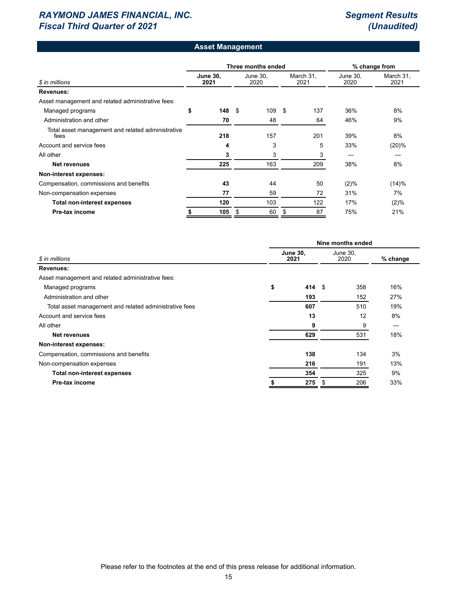### **Asset Management**

|                                                           |    |                         |    | Three months ended | % change from |                   |                  |                   |
|-----------------------------------------------------------|----|-------------------------|----|--------------------|---------------|-------------------|------------------|-------------------|
| \$ in millions                                            |    | <b>June 30.</b><br>2021 |    | June 30,<br>2020   |               | March 31,<br>2021 | June 30,<br>2020 | March 31,<br>2021 |
| <b>Revenues:</b>                                          |    |                         |    |                    |               |                   |                  |                   |
| Asset management and related administrative fees:         |    |                         |    |                    |               |                   |                  |                   |
| Managed programs                                          | \$ | 148                     | \$ | 109                | \$            | 137               | 36%              | 8%                |
| Administration and other                                  |    | 70                      |    | 48                 |               | 64                | 46%              | 9%                |
| Total asset management and related administrative<br>fees |    | 218                     |    | 157                |               | 201               | 39%              | 8%                |
| Account and service fees                                  |    | 4                       |    | 3                  |               | 5                 | 33%              | (20)%             |
| All other                                                 |    | 3                       |    | 3                  |               | 3                 |                  |                   |
| <b>Net revenues</b>                                       |    | 225                     |    | 163                |               | 209               | 38%              | 8%                |
| Non-interest expenses:                                    |    |                         |    |                    |               |                   |                  |                   |
| Compensation, commissions and benefits                    |    | 43                      |    | 44                 |               | 50                | (2)%             | (14)%             |
| Non-compensation expenses                                 |    | 77                      |    | 59                 |               | 72                | 31%              | 7%                |
| <b>Total non-interest expenses</b>                        |    | 120                     |    | 103                |               | 122               | 17%              | (2)%              |
| Pre-tax income                                            |    | 105                     | \$ | 60                 | S             | 87                | 75%              | 21%               |

|                                                        | Nine months ended       |                   |  |          |     |  |  |  |  |
|--------------------------------------------------------|-------------------------|-------------------|--|----------|-----|--|--|--|--|
| \$ in millions                                         | <b>June 30,</b><br>2021 | June 30,<br>2020  |  | % change |     |  |  |  |  |
| Revenues:                                              |                         |                   |  |          |     |  |  |  |  |
| Asset management and related administrative fees:      |                         |                   |  |          |     |  |  |  |  |
| Managed programs                                       | \$                      | 414 $\frac{1}{2}$ |  | 358      | 16% |  |  |  |  |
| Administration and other                               |                         | 193               |  | 152      | 27% |  |  |  |  |
| Total asset management and related administrative fees |                         | 607               |  | 510      | 19% |  |  |  |  |
| Account and service fees                               |                         | 13                |  | 12       | 8%  |  |  |  |  |
| All other                                              |                         | 9                 |  | 9        |     |  |  |  |  |
| <b>Net revenues</b>                                    |                         | 629               |  | 531      | 18% |  |  |  |  |
| Non-interest expenses:                                 |                         |                   |  |          |     |  |  |  |  |
| Compensation, commissions and benefits                 |                         | 138               |  | 134      | 3%  |  |  |  |  |
| Non-compensation expenses                              |                         | 216               |  | 191      | 13% |  |  |  |  |
| <b>Total non-interest expenses</b>                     |                         | 354               |  | 325      | 9%  |  |  |  |  |
| Pre-tax income                                         |                         | 275               |  | 206      | 33% |  |  |  |  |
|                                                        |                         |                   |  |          |     |  |  |  |  |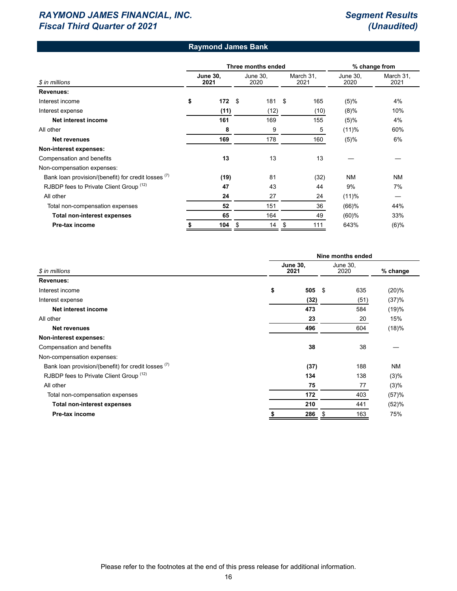# **Raymond James Bank**

|                                                     |                         | Three months ended | % change from    |                   |                  |                   |
|-----------------------------------------------------|-------------------------|--------------------|------------------|-------------------|------------------|-------------------|
| \$ in millions                                      | <b>June 30,</b><br>2021 |                    | June 30,<br>2020 | March 31,<br>2021 | June 30,<br>2020 | March 31,<br>2021 |
| Revenues:                                           |                         |                    |                  |                   |                  |                   |
| Interest income                                     | \$<br>172               | \$                 | 181              | \$<br>165         | (5)%             | 4%                |
| Interest expense                                    | (11)                    |                    | (12)             | (10)              | $(8)\%$          | 10%               |
| Net interest income                                 | 161                     |                    | 169              | 155               | (5)%             | 4%                |
| All other                                           | 8                       |                    | 9                | 5                 | (11)%            | 60%               |
| Net revenues                                        | 169                     |                    | 178              | 160               | (5)%             | 6%                |
| Non-interest expenses:                              |                         |                    |                  |                   |                  |                   |
| Compensation and benefits                           | 13                      |                    | 13               | 13                |                  |                   |
| Non-compensation expenses:                          |                         |                    |                  |                   |                  |                   |
| Bank loan provision/(benefit) for credit losses (7) | (19)                    |                    | 81               | (32)              | <b>NM</b>        | <b>NM</b>         |
| RJBDP fees to Private Client Group (12)             | 47                      |                    | 43               | 44                | 9%               | 7%                |
| All other                                           | 24                      |                    | 27               | 24                | (11)%            |                   |
| Total non-compensation expenses                     | 52                      |                    | 151              | 36                | $(66)$ %         | 44%               |
| <b>Total non-interest expenses</b>                  | 65                      |                    | 164              | 49                | (60)%            | 33%               |
| Pre-tax income                                      | 104                     | \$                 | 14               | \$<br>111         | 643%             | $(6)$ %           |

|                                                     | Nine months ended       |                  |      |           |  |  |  |  |  |
|-----------------------------------------------------|-------------------------|------------------|------|-----------|--|--|--|--|--|
| \$ in millions                                      | <b>June 30,</b><br>2021 | June 30,<br>2020 |      | % change  |  |  |  |  |  |
| Revenues:                                           |                         |                  |      |           |  |  |  |  |  |
| Interest income                                     | \$<br>505               | \$               | 635  | (20)%     |  |  |  |  |  |
| Interest expense                                    | (32)                    |                  | (51) | (37)%     |  |  |  |  |  |
| Net interest income                                 | 473                     |                  | 584  | (19)%     |  |  |  |  |  |
| All other                                           | 23                      |                  | 20   | 15%       |  |  |  |  |  |
| Net revenues                                        | 496                     |                  | 604  | (18)%     |  |  |  |  |  |
| Non-interest expenses:                              |                         |                  |      |           |  |  |  |  |  |
| Compensation and benefits                           | 38                      |                  | 38   |           |  |  |  |  |  |
| Non-compensation expenses:                          |                         |                  |      |           |  |  |  |  |  |
| Bank loan provision/(benefit) for credit losses (7) | (37)                    |                  | 188  | <b>NM</b> |  |  |  |  |  |
| RJBDP fees to Private Client Group (12)             | 134                     |                  | 138  | (3)%      |  |  |  |  |  |
| All other                                           | 75                      |                  | 77   | (3)%      |  |  |  |  |  |
| Total non-compensation expenses                     | 172                     |                  | 403  | (57)%     |  |  |  |  |  |
| <b>Total non-interest expenses</b>                  | 210                     |                  | 441  | (52)%     |  |  |  |  |  |
| Pre-tax income                                      | 286                     |                  | 163  | 75%       |  |  |  |  |  |
|                                                     |                         |                  |      |           |  |  |  |  |  |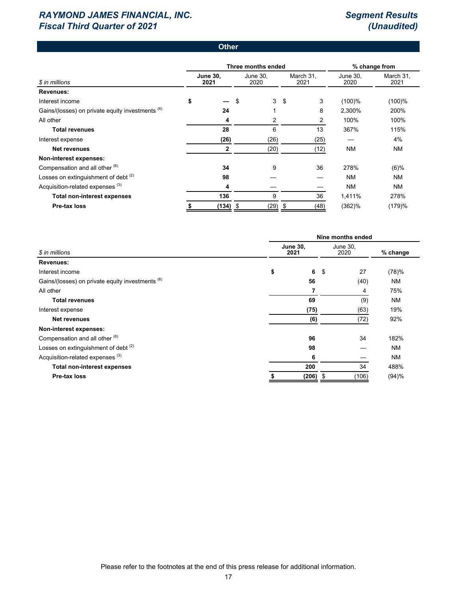#### **Other**

|                                                  | Three months ended |                         |    |                  |    | % change from     |                  |                   |
|--------------------------------------------------|--------------------|-------------------------|----|------------------|----|-------------------|------------------|-------------------|
| \$ in millions                                   |                    | <b>June 30.</b><br>2021 |    | June 30,<br>2020 |    | March 31,<br>2021 | June 30.<br>2020 | March 31,<br>2021 |
| <b>Revenues:</b>                                 |                    |                         |    |                  |    |                   |                  |                   |
| Interest income                                  | \$                 |                         | \$ | 3                | \$ | 3                 | (100)%           | (100)%            |
| Gains/(losses) on private equity investments (6) |                    | 24                      |    |                  |    | 8                 | 2,300%           | 200%              |
| All other                                        |                    | 4                       |    | 2                |    | 2                 | 100%             | 100%              |
| <b>Total revenues</b>                            |                    | 28                      |    | 6                |    | 13                | 367%             | 115%              |
| Interest expense                                 |                    | (26)                    |    | (26)             |    | (25)              |                  | 4%                |
| Net revenues                                     |                    | $\mathbf{2}$            |    | (20)             |    | (12)              | NM               | <b>NM</b>         |
| Non-interest expenses:                           |                    |                         |    |                  |    |                   |                  |                   |
| Compensation and all other (6)                   |                    | 34                      |    | 9                |    | 36                | 278%             | $(6)$ %           |
| Losses on extinguishment of debt <sup>(2)</sup>  |                    | 98                      |    |                  |    |                   | NM               | <b>NM</b>         |
| Acquisition-related expenses <sup>(3)</sup>      |                    | 4                       |    |                  |    |                   | <b>NM</b>        | <b>NM</b>         |
| <b>Total non-interest expenses</b>               |                    | 136                     |    | 9                |    | 36                | 1,411%           | 278%              |
| Pre-tax loss                                     |                    | $(134)$ \$              |    | (29)             | \$ | (48)              | (362)%           | (179)%            |

|                                                  | Nine months ended |                         |                  |       |           |  |  |  |  |
|--------------------------------------------------|-------------------|-------------------------|------------------|-------|-----------|--|--|--|--|
| \$ in millions                                   |                   | <b>June 30,</b><br>2021 | June 30,<br>2020 |       | % change  |  |  |  |  |
| <b>Revenues:</b>                                 |                   |                         |                  |       |           |  |  |  |  |
| Interest income                                  | \$                | 6                       | \$               | 27    | (78)%     |  |  |  |  |
| Gains/(losses) on private equity investments (6) |                   | 56                      |                  | (40)  | NM        |  |  |  |  |
| All other                                        |                   | 7                       |                  | 4     | 75%       |  |  |  |  |
| <b>Total revenues</b>                            |                   | 69                      |                  | (9)   | <b>NM</b> |  |  |  |  |
| Interest expense                                 |                   | (75)                    |                  | (63)  | 19%       |  |  |  |  |
| Net revenues                                     |                   | (6)                     |                  | (72)  | 92%       |  |  |  |  |
| Non-interest expenses:                           |                   |                         |                  |       |           |  |  |  |  |
| Compensation and all other (6)                   |                   | 96                      |                  | 34    | 182%      |  |  |  |  |
| Losses on extinguishment of debt (2)             |                   | 98                      |                  |       | <b>NM</b> |  |  |  |  |
| Acquisition-related expenses <sup>(3)</sup>      |                   | 6                       |                  |       | <b>NM</b> |  |  |  |  |
| <b>Total non-interest expenses</b>               |                   | 200                     |                  | 34    | 488%      |  |  |  |  |
| Pre-tax loss                                     |                   | (206)                   |                  | (106) | (94)%     |  |  |  |  |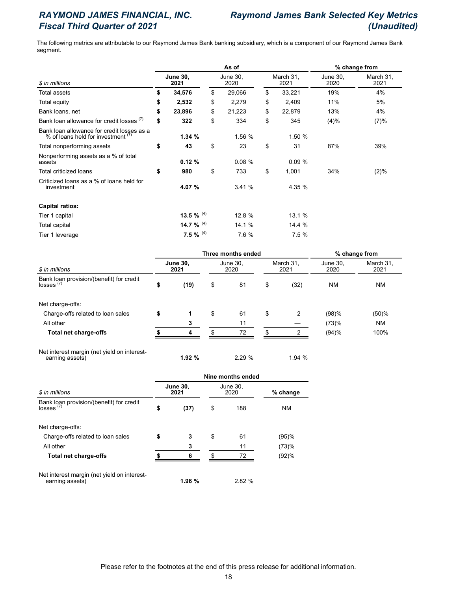# *RAYMOND JAMES FINANCIAL, INC. Raymond James Bank Selected Key Metrics Fiscal Third Quarter of 2021 (Unaudited)*

The following metrics are attributable to our Raymond James Bank banking subsidiary, which is a component of our Raymond James Bank segment.

|                                                                                  |    |                         |    | % change from    |    |                   |                  |                   |  |
|----------------------------------------------------------------------------------|----|-------------------------|----|------------------|----|-------------------|------------------|-------------------|--|
| \$ in millions                                                                   |    | <b>June 30,</b><br>2021 |    | June 30,<br>2020 |    | March 31,<br>2021 | June 30,<br>2020 | March 31,<br>2021 |  |
| Total assets                                                                     | \$ | 34,576                  | \$ | 29,066           | \$ | 33,221            | 19%              | 4%                |  |
| Total equity                                                                     | \$ | 2,532                   | \$ | 2,279            | \$ | 2,409             | 11%              | 5%                |  |
| Bank loans, net                                                                  | \$ | 23,896                  | \$ | 21,223           | \$ | 22,879            | 13%              | 4%                |  |
| Bank loan allowance for credit losses (7)                                        | \$ | 322                     | \$ | 334              | \$ | 345               | (4)%             | (7)%              |  |
| Bank loan allowance for credit losses as a<br>% of loans held for investment (7) |    | 1.34%                   |    | 1.56 %           |    | 1.50 %            |                  |                   |  |
| Total nonperforming assets                                                       | \$ | 43                      | \$ | 23               | \$ | 31                | 87%              | 39%               |  |
| Nonperforming assets as a % of total<br>assets                                   |    | 0.12%                   |    | 0.08%            |    | 0.09%             |                  |                   |  |
| Total criticized loans                                                           | \$ | 980                     | \$ | 733              | \$ | 1,001             | 34%              | (2)%              |  |
| Criticized loans as a % of loans held for<br>investment                          |    | 4.07 %                  |    | 3.41%            |    | 4.35 %            |                  |                   |  |
| <b>Capital ratios:</b>                                                           |    |                         |    |                  |    |                   |                  |                   |  |
| Tier 1 capital                                                                   |    | 13.5 % $^{(4)}$         |    | 12.8 %           |    | 13.1%             |                  |                   |  |
| <b>Total capital</b>                                                             |    | 14.7 % $(4)$            |    | 14.1 %           |    | 14.4 %            |                  |                   |  |
| Tier 1 leverage                                                                  |    | 7.5 % $^{(4)}$          |    | 7.6 %            |    | 7.5%              |                  |                   |  |

|                         |      |                  | % change from |                   |                    |                  |                   |  |
|-------------------------|------|------------------|---------------|-------------------|--------------------|------------------|-------------------|--|
| <b>June 30,</b><br>2021 |      | June 30,<br>2020 |               | March 31,<br>2021 |                    | June 30,<br>2020 | March 31,<br>2021 |  |
| \$                      | (19) | \$               | 81            | \$                | (32)               | <b>NM</b>        | <b>NM</b>         |  |
|                         |      |                  |               |                   |                    |                  |                   |  |
| \$                      |      | \$               | 61            | \$                | 2                  | (98)%            | (50)%             |  |
|                         |      |                  | 11            |                   |                    | (73)%            | <b>NM</b>         |  |
|                         | 4    | \$.              | 72            |                   |                    | (94)%            | 100%              |  |
|                         |      |                  |               |                   | Three months ended |                  |                   |  |

Net interest margin (net yield on interestearning assets) **1.92 %** 2.29 % 1.94 %

|                                                                | Nine months ended |                         |    |                  |            |  |  |  |  |  |
|----------------------------------------------------------------|-------------------|-------------------------|----|------------------|------------|--|--|--|--|--|
| \$ in millions                                                 |                   | <b>June 30,</b><br>2021 |    | June 30,<br>2020 | $%$ change |  |  |  |  |  |
| Bank loan provision/(benefit) for credit<br>losses $(7)$       | \$                | (37)                    | \$ | 188              | <b>NM</b>  |  |  |  |  |  |
| Net charge-offs:                                               |                   |                         |    |                  |            |  |  |  |  |  |
| Charge-offs related to loan sales                              | \$                | 3                       | \$ | 61               | (95)%      |  |  |  |  |  |
| All other                                                      |                   | 3                       |    | 11               | (73)%      |  |  |  |  |  |
| Total net charge-offs                                          |                   | 6                       |    | 72               | (92)%      |  |  |  |  |  |
| Net interest margin (net yield on interest-<br>earning assets) |                   | 1.96 %                  |    | 2.82%            |            |  |  |  |  |  |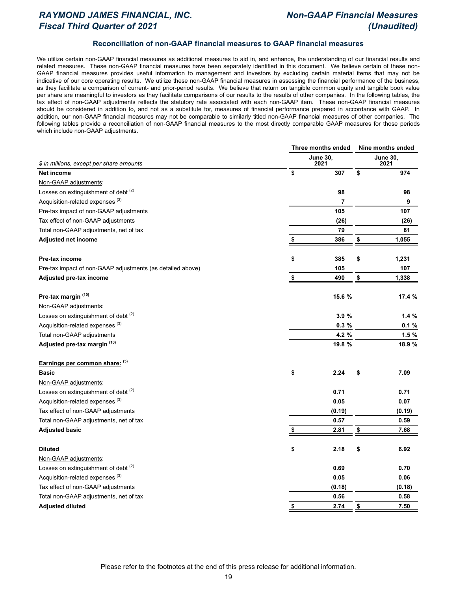# *RAYMOND JAMES FINANCIAL, INC. Non-GAAP Financial Measures Fiscal Third Quarter of 2021 (Unaudited)*

#### **Reconciliation of non-GAAP financial measures to GAAP financial measures**

We utilize certain non-GAAP financial measures as additional measures to aid in, and enhance, the understanding of our financial results and related measures. These non-GAAP financial measures have been separately identified in this document. We believe certain of these non-GAAP financial measures provides useful information to management and investors by excluding certain material items that may not be indicative of our core operating results. We utilize these non-GAAP financial measures in assessing the financial performance of the business, as they facilitate a comparison of current- and prior-period results. We believe that return on tangible common equity and tangible book value per share are meaningful to investors as they facilitate comparisons of our results to the results of other companies. In the following tables, the tax effect of non-GAAP adjustments reflects the statutory rate associated with each non-GAAP item. These non-GAAP financial measures should be considered in addition to, and not as a substitute for, measures of financial performance prepared in accordance with GAAP. In addition, our non-GAAP financial measures may not be comparable to similarly titled non-GAAP financial measures of other companies. The following tables provide a reconciliation of non-GAAP financial measures to the most directly comparable GAAP measures for those periods which include non-GAAP adjustments.

|                                                            | Three months ended | Nine months ended       |    |        |  |
|------------------------------------------------------------|--------------------|-------------------------|----|--------|--|
| \$ in millions, except per share amounts                   | <b>June 30,</b>    | <b>June 30,</b><br>2021 |    |        |  |
| <b>Net income</b>                                          | \$                 | 307                     | \$ | 974    |  |
| Non-GAAP adjustments:                                      |                    |                         |    |        |  |
| Losses on extinguishment of debt (2)                       |                    | 98                      |    | 98     |  |
| Acquisition-related expenses <sup>(3)</sup>                |                    | 7                       |    | 9      |  |
| Pre-tax impact of non-GAAP adjustments                     |                    | 105                     |    | 107    |  |
| Tax effect of non-GAAP adjustments                         |                    | (26)                    |    | (26)   |  |
| Total non-GAAP adjustments, net of tax                     |                    | 79                      |    | 81     |  |
| <b>Adjusted net income</b>                                 | S                  | 386                     | \$ | 1,055  |  |
| Pre-tax income                                             | \$                 | 385                     | \$ | 1,231  |  |
| Pre-tax impact of non-GAAP adjustments (as detailed above) |                    | 105                     |    | 107    |  |
| Adjusted pre-tax income                                    | \$                 | 490                     | \$ | 1,338  |  |
| Pre-tax margin (10)                                        |                    | 15.6 %                  |    | 17.4 % |  |
| Non-GAAP adjustments:                                      |                    |                         |    |        |  |
| Losses on extinguishment of debt (2)                       |                    | 3.9%                    |    | 1.4%   |  |
| Acquisition-related expenses <sup>(3)</sup>                |                    | 0.3%                    |    | 0.1%   |  |
| Total non-GAAP adjustments                                 |                    | 4.2 %                   |    | 1.5%   |  |
| Adjusted pre-tax margin (10)                               |                    | 19.8 %                  |    | 18.9 % |  |
| Earnings per common share: (5)                             |                    |                         |    |        |  |
| <b>Basic</b>                                               | \$                 | 2.24                    | \$ | 7.09   |  |
| Non-GAAP adjustments:                                      |                    |                         |    |        |  |
| Losses on extinguishment of debt (2)                       |                    | 0.71                    |    | 0.71   |  |
| Acquisition-related expenses <sup>(3)</sup>                |                    | 0.05                    |    | 0.07   |  |
| Tax effect of non-GAAP adjustments                         |                    | (0.19)                  |    | (0.19) |  |
| Total non-GAAP adjustments, net of tax                     |                    | 0.57                    |    | 0.59   |  |
| <b>Adjusted basic</b>                                      |                    | 2.81                    | \$ | 7.68   |  |
| <b>Diluted</b>                                             | \$                 | 2.18                    | \$ | 6.92   |  |
| Non-GAAP adjustments:                                      |                    |                         |    |        |  |
| Losses on extinguishment of debt (2)                       |                    | 0.69                    |    | 0.70   |  |
| Acquisition-related expenses <sup>(3)</sup>                |                    | 0.05                    |    | 0.06   |  |
| Tax effect of non-GAAP adjustments                         |                    | (0.18)                  |    | (0.18) |  |
| Total non-GAAP adjustments, net of tax                     |                    | 0.56                    |    | 0.58   |  |
| <b>Adjusted diluted</b>                                    | \$                 | 2.74                    | \$ | 7.50   |  |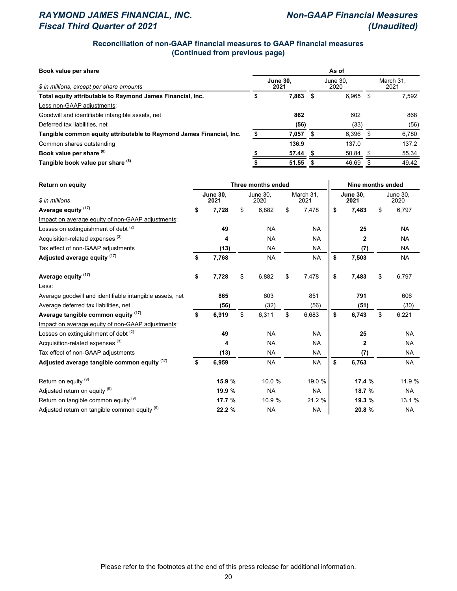# *RAYMOND JAMES FINANCIAL, INC. Non-GAAP Financial Measures Fiscal Third Quarter of 2021 (Unaudited)*

### **Reconciliation of non-GAAP financial measures to GAAP financial measures (Continued from previous page)**

| Book value per share                                                 | As of                   |       |      |                  |                   |       |  |  |  |  |
|----------------------------------------------------------------------|-------------------------|-------|------|------------------|-------------------|-------|--|--|--|--|
| \$ in millions, except per share amounts                             | <b>June 30.</b><br>2021 |       |      | June 30.<br>2020 | March 31.<br>2021 |       |  |  |  |  |
| Total equity attributable to Raymond James Financial, Inc.           |                         | 7.863 | - \$ | 6.965            | - \$              | 7,592 |  |  |  |  |
| Less non-GAAP adjustments:                                           |                         |       |      |                  |                   |       |  |  |  |  |
| Goodwill and identifiable intangible assets, net                     |                         | 862   |      | 602              |                   | 868   |  |  |  |  |
| Deferred tax liabilities, net                                        |                         | (56)  |      | (33)             |                   | (56)  |  |  |  |  |
| Tangible common equity attributable to Raymond James Financial, Inc. |                         | 7,057 | - \$ | 6,396            | - \$              | 6,780 |  |  |  |  |
| Common shares outstanding                                            |                         | 136.9 |      | 137.0            |                   | 137.2 |  |  |  |  |
| Book value per share (8)                                             |                         | 57.44 |      | $50.84$ \$       |                   | 55.34 |  |  |  |  |
| Tangible book value per share (8)                                    |                         | 51.55 |      | 46.69            |                   | 49.42 |  |  |  |  |

| <b>Return on equity</b>                                  | Three months ended |                         |                  |           |                   |           |                         | Nine months ended |                         |           |  |  |
|----------------------------------------------------------|--------------------|-------------------------|------------------|-----------|-------------------|-----------|-------------------------|-------------------|-------------------------|-----------|--|--|
| \$ in millions                                           |                    | <b>June 30,</b><br>2021 | June 30,<br>2020 |           | March 31,<br>2021 |           | <b>June 30,</b><br>2021 |                   | <b>June 30,</b><br>2020 |           |  |  |
| Average equity <sup>(17)</sup>                           | \$                 | 7,728                   | \$               | 6,882     | \$                | 7,478     | \$                      | 7,483             | \$                      | 6,797     |  |  |
| Impact on average equity of non-GAAP adjustments:        |                    |                         |                  |           |                   |           |                         |                   |                         |           |  |  |
| Losses on extinguishment of debt (2)                     |                    | 49                      |                  | <b>NA</b> |                   | <b>NA</b> |                         | 25                |                         | <b>NA</b> |  |  |
| Acquisition-related expenses <sup>(3)</sup>              |                    | 4                       |                  | <b>NA</b> |                   | <b>NA</b> |                         | 2                 |                         | <b>NA</b> |  |  |
| Tax effect of non-GAAP adjustments                       |                    | (13)                    |                  | <b>NA</b> |                   | <b>NA</b> |                         | (7)               |                         | <b>NA</b> |  |  |
| Adjusted average equity (17)                             | \$                 | 7,768                   |                  | <b>NA</b> |                   | <b>NA</b> | \$                      | 7,503             |                         | <b>NA</b> |  |  |
| Average equity (17)                                      | \$                 | 7,728                   | \$               | 6,882     | \$                | 7,478     | \$                      | 7,483             | \$                      | 6,797     |  |  |
| Less:                                                    |                    |                         |                  |           |                   |           |                         |                   |                         |           |  |  |
| Average goodwill and identifiable intangible assets, net |                    | 865                     |                  | 603       |                   | 851       |                         | 791               |                         | 606       |  |  |
| Average deferred tax liabilities, net                    |                    | (56)                    |                  | (32)      |                   | (56)      |                         | (51)              |                         | (30)      |  |  |
| Average tangible common equity (17)                      | \$                 | 6,919                   | \$               | 6,311     | \$                | 6,683     | \$                      | 6,743             | \$                      | 6,221     |  |  |
| Impact on average equity of non-GAAP adjustments:        |                    |                         |                  |           |                   |           |                         |                   |                         |           |  |  |
| Losses on extinguishment of debt <sup>(2)</sup>          |                    | 49                      |                  | <b>NA</b> |                   | <b>NA</b> |                         | 25                |                         | <b>NA</b> |  |  |
| Acquisition-related expenses <sup>(3)</sup>              |                    | 4                       |                  | <b>NA</b> |                   | <b>NA</b> |                         | 2                 |                         | <b>NA</b> |  |  |
| Tax effect of non-GAAP adjustments                       |                    | (13)                    |                  | <b>NA</b> |                   | <b>NA</b> |                         | (7)               |                         | <b>NA</b> |  |  |
| Adjusted average tangible common equity (17)             | \$                 | 6,959                   |                  | <b>NA</b> |                   | <b>NA</b> | \$                      | 6,763             |                         | <b>NA</b> |  |  |
| Return on equity (9)                                     |                    | 15.9 %                  |                  | 10.0 %    |                   | 19.0 %    |                         | 17.4 %            |                         | 11.9 %    |  |  |
| Adjusted return on equity (9)                            |                    | 19.9 %                  |                  | <b>NA</b> |                   | <b>NA</b> |                         | 18.7 %            |                         | <b>NA</b> |  |  |
| Return on tangible common equity (9)                     |                    | 17.7 %                  |                  | 10.9 %    |                   | 21.2 %    |                         | 19.3 %            |                         | 13.1 %    |  |  |
| Adjusted return on tangible common equity (9)            |                    | 22.2 %                  |                  | <b>NA</b> |                   | <b>NA</b> |                         | 20.8 %            |                         | NA        |  |  |